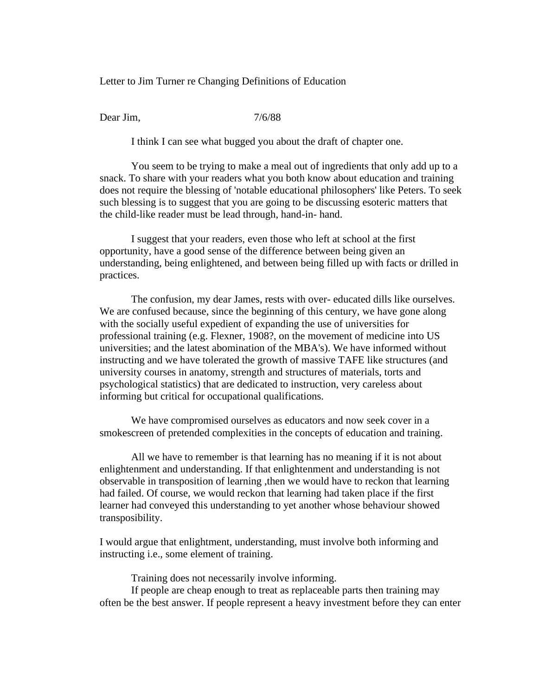Letter to Jim Turner re Changing Definitions of Education

Dear Jim, 2/6/88

I think I can see what bugged you about the draft of chapter one.

You seem to be trying to make a meal out of ingredients that only add up to a snack. To share with your readers what you both know about education and training does not require the blessing of 'notable educational philosophers' like Peters. To seek such blessing is to suggest that you are going to be discussing esoteric matters that the child-like reader must be lead through, hand-in- hand.

I suggest that your readers, even those who left at school at the first opportunity, have a good sense of the difference between being given an understanding, being enlightened, and between being filled up with facts or drilled in practices.

The confusion, my dear James, rests with over- educated dills like ourselves. We are confused because, since the beginning of this century, we have gone along with the socially useful expedient of expanding the use of universities for professional training (e.g. Flexner, 1908?, on the movement of medicine into US universities; and the latest abomination of the MBA's). We have informed without instructing and we have tolerated the growth of massive TAFE like structures (and university courses in anatomy, strength and structures of materials, torts and psychological statistics) that are dedicated to instruction, very careless about informing but critical for occupational qualifications.

We have compromised ourselves as educators and now seek cover in a smokescreen of pretended complexities in the concepts of education and training.

All we have to remember is that learning has no meaning if it is not about enlightenment and understanding. If that enlightenment and understanding is not observable in transposition of learning ,then we would have to reckon that learning had failed. Of course, we would reckon that learning had taken place if the first learner had conveyed this understanding to yet another whose behaviour showed transposibility.

I would argue that enlightment, understanding, must involve both informing and instructing i.e., some element of training.

Training does not necessarily involve informing.

If people are cheap enough to treat as replaceable parts then training may often be the best answer. If people represent a heavy investment before they can enter